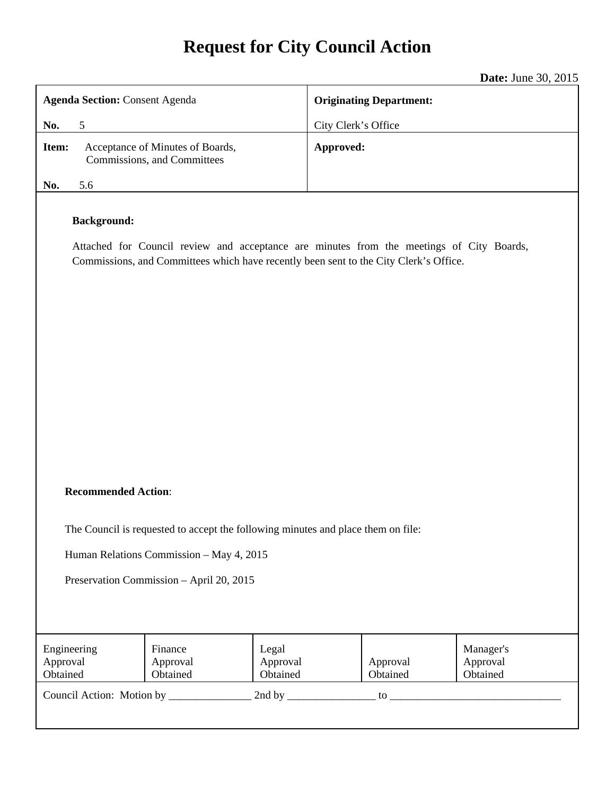# **Request for City Council Action**

|                                                                                                                                                                                                         | <b>Date:</b> June 30, 2015     |  |
|---------------------------------------------------------------------------------------------------------------------------------------------------------------------------------------------------------|--------------------------------|--|
| <b>Agenda Section: Consent Agenda</b>                                                                                                                                                                   | <b>Originating Department:</b> |  |
| No.<br>5                                                                                                                                                                                                | City Clerk's Office            |  |
| Acceptance of Minutes of Boards,<br>Item:<br>Commissions, and Committees                                                                                                                                | Approved:                      |  |
| 5.6<br>No.                                                                                                                                                                                              |                                |  |
| <b>Background:</b><br>Attached for Council review and acceptance are minutes from the meetings of City Boards,<br>Commissions, and Committees which have recently been sent to the City Clerk's Office. |                                |  |
| <b>Recommended Action:</b>                                                                                                                                                                              |                                |  |

The Council is requested to accept the following minutes and place them on file:

Human Relations Commission – May 4, 2015

Preservation Commission – April 20, 2015

| Engineering<br>Approval<br>Obtained | Finance<br>Approval<br>Obtained | Legal<br>Approval<br>Obtained | Approval<br>Obtained | Manager's<br>Approval<br>Obtained |
|-------------------------------------|---------------------------------|-------------------------------|----------------------|-----------------------------------|
| Council Action: Motion by           |                                 | 2nd by                        | tο                   |                                   |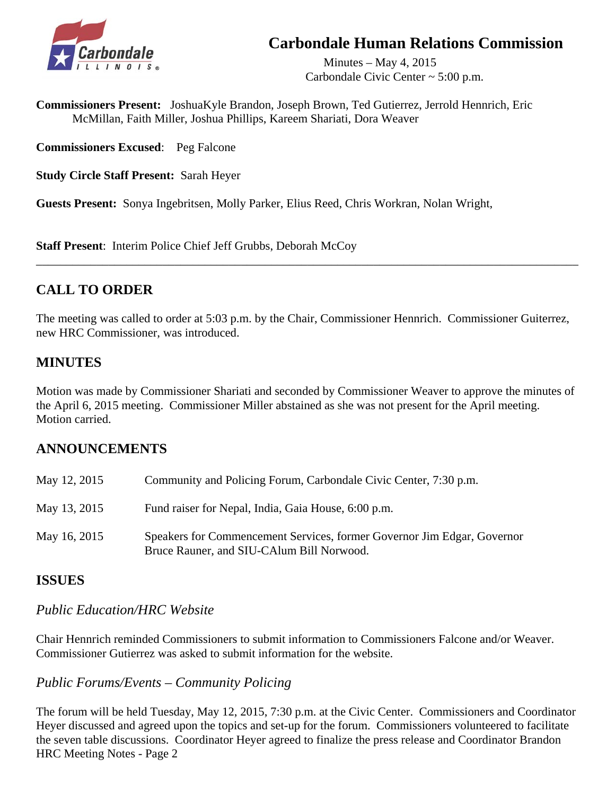## **Carbondale Human Relations Commission**



Minutes – May 4, 2015 Carbondale Civic Center ~ 5:00 p.m.

**Commissioners Present:** JoshuaKyle Brandon, Joseph Brown, Ted Gutierrez, Jerrold Hennrich, Eric McMillan, Faith Miller, Joshua Phillips, Kareem Shariati, Dora Weaver

**Commissioners Excused**: Peg Falcone

**Study Circle Staff Present:** Sarah Heyer

**Guests Present:** Sonya Ingebritsen, Molly Parker, Elius Reed, Chris Workran, Nolan Wright,

**Staff Present**: Interim Police Chief Jeff Grubbs, Deborah McCoy

## **CALL TO ORDER**

The meeting was called to order at 5:03 p.m. by the Chair, Commissioner Hennrich. Commissioner Guiterrez, new HRC Commissioner, was introduced.

\_\_\_\_\_\_\_\_\_\_\_\_\_\_\_\_\_\_\_\_\_\_\_\_\_\_\_\_\_\_\_\_\_\_\_\_\_\_\_\_\_\_\_\_\_\_\_\_\_\_\_\_\_\_\_\_\_\_\_\_\_\_\_\_\_\_\_\_\_\_\_\_\_\_\_\_\_\_\_\_\_\_\_\_\_\_\_\_\_\_

## **MINUTES**

Motion was made by Commissioner Shariati and seconded by Commissioner Weaver to approve the minutes of the April 6, 2015 meeting. Commissioner Miller abstained as she was not present for the April meeting. Motion carried.

### **ANNOUNCEMENTS**

| May 12, 2015 | Community and Policing Forum, Carbondale Civic Center, 7:30 p.m.                                                     |
|--------------|----------------------------------------------------------------------------------------------------------------------|
| May 13, 2015 | Fund raiser for Nepal, India, Gaia House, 6:00 p.m.                                                                  |
| May 16, 2015 | Speakers for Commencement Services, former Governor Jim Edgar, Governor<br>Bruce Rauner, and SIU-CAlum Bill Norwood. |

### **ISSUES**

#### *Public Education/HRC Website*

 Chair Hennrich reminded Commissioners to submit information to Commissioners Falcone and/or Weaver. Commissioner Gutierrez was asked to submit information for the website.

### *Public Forums/Events – Community Policing*

 The forum will be held Tuesday, May 12, 2015, 7:30 p.m. at the Civic Center. Commissioners and Coordinator Heyer discussed and agreed upon the topics and set-up for the forum. Commissioners volunteered to facilitate the seven table discussions. Coordinator Heyer agreed to finalize the press release and Coordinator Brandon HRC Meeting Notes - Page 2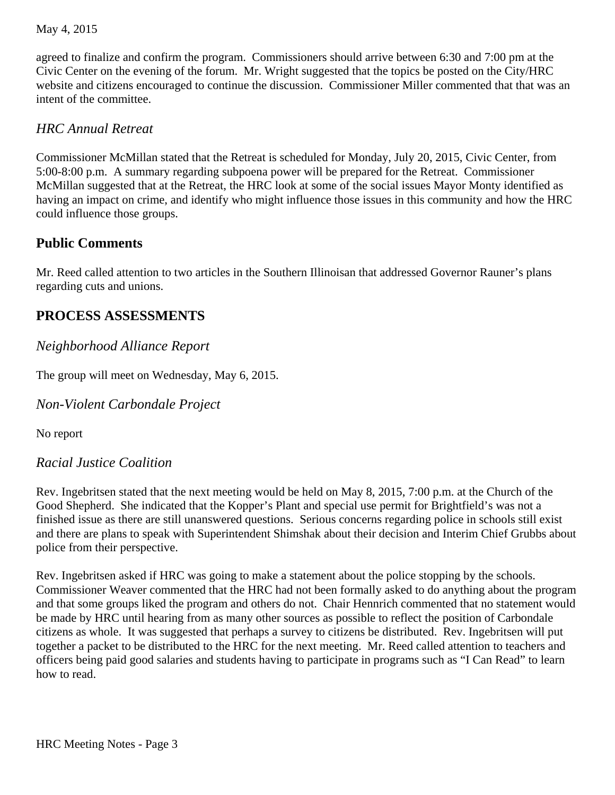#### May 4, 2015

 agreed to finalize and confirm the program. Commissioners should arrive between 6:30 and 7:00 pm at the Civic Center on the evening of the forum. Mr. Wright suggested that the topics be posted on the City/HRC website and citizens encouraged to continue the discussion. Commissioner Miller commented that that was an intent of the committee.

#### *HRC Annual Retreat*

 Commissioner McMillan stated that the Retreat is scheduled for Monday, July 20, 2015, Civic Center, from 5:00-8:00 p.m. A summary regarding subpoena power will be prepared for the Retreat. Commissioner McMillan suggested that at the Retreat, the HRC look at some of the social issues Mayor Monty identified as having an impact on crime, and identify who might influence those issues in this community and how the HRC could influence those groups.

#### **Public Comments**

 Mr. Reed called attention to two articles in the Southern Illinoisan that addressed Governor Rauner's plans regarding cuts and unions.

## **PROCESS ASSESSMENTS**

#### *Neighborhood Alliance Report*

The group will meet on Wednesday, May 6, 2015.

*Non-Violent Carbondale Project* 

No report

#### *Racial Justice Coalition*

 Rev. Ingebritsen stated that the next meeting would be held on May 8, 2015, 7:00 p.m. at the Church of the Good Shepherd. She indicated that the Kopper's Plant and special use permit for Brightfield's was not a finished issue as there are still unanswered questions. Serious concerns regarding police in schools still exist and there are plans to speak with Superintendent Shimshak about their decision and Interim Chief Grubbs about police from their perspective.

 Rev. Ingebritsen asked if HRC was going to make a statement about the police stopping by the schools. Commissioner Weaver commented that the HRC had not been formally asked to do anything about the program and that some groups liked the program and others do not. Chair Hennrich commented that no statement would be made by HRC until hearing from as many other sources as possible to reflect the position of Carbondale citizens as whole. It was suggested that perhaps a survey to citizens be distributed. Rev. Ingebritsen will put together a packet to be distributed to the HRC for the next meeting. Mr. Reed called attention to teachers and officers being paid good salaries and students having to participate in programs such as "I Can Read" to learn how to read.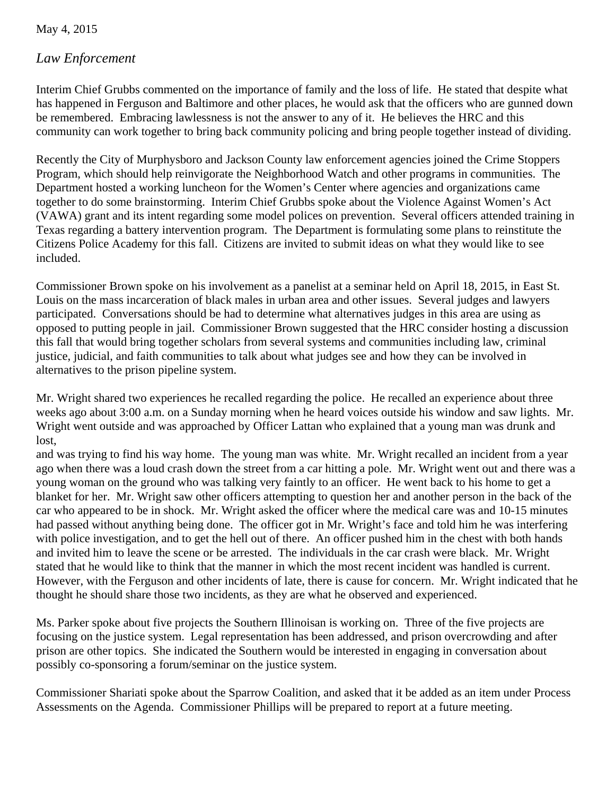May 4, 2015

#### *Law Enforcement*

Interim Chief Grubbs commented on the importance of family and the loss of life. He stated that despite what has happened in Ferguson and Baltimore and other places, he would ask that the officers who are gunned down be remembered. Embracing lawlessness is not the answer to any of it. He believes the HRC and this community can work together to bring back community policing and bring people together instead of dividing.

 Recently the City of Murphysboro and Jackson County law enforcement agencies joined the Crime Stoppers Program, which should help reinvigorate the Neighborhood Watch and other programs in communities. The Department hosted a working luncheon for the Women's Center where agencies and organizations came together to do some brainstorming. Interim Chief Grubbs spoke about the Violence Against Women's Act (VAWA) grant and its intent regarding some model polices on prevention. Several officers attended training in Texas regarding a battery intervention program. The Department is formulating some plans to reinstitute the Citizens Police Academy for this fall. Citizens are invited to submit ideas on what they would like to see included.

 Commissioner Brown spoke on his involvement as a panelist at a seminar held on April 18, 2015, in East St. Louis on the mass incarceration of black males in urban area and other issues. Several judges and lawyers participated. Conversations should be had to determine what alternatives judges in this area are using as opposed to putting people in jail. Commissioner Brown suggested that the HRC consider hosting a discussion this fall that would bring together scholars from several systems and communities including law, criminal justice, judicial, and faith communities to talk about what judges see and how they can be involved in alternatives to the prison pipeline system.

 Mr. Wright shared two experiences he recalled regarding the police. He recalled an experience about three weeks ago about 3:00 a.m. on a Sunday morning when he heard voices outside his window and saw lights. Mr. Wright went outside and was approached by Officer Lattan who explained that a young man was drunk and lost,

 and was trying to find his way home. The young man was white. Mr. Wright recalled an incident from a year ago when there was a loud crash down the street from a car hitting a pole. Mr. Wright went out and there was a young woman on the ground who was talking very faintly to an officer. He went back to his home to get a blanket for her. Mr. Wright saw other officers attempting to question her and another person in the back of the car who appeared to be in shock. Mr. Wright asked the officer where the medical care was and 10-15 minutes had passed without anything being done. The officer got in Mr. Wright's face and told him he was interfering with police investigation, and to get the hell out of there. An officer pushed him in the chest with both hands and invited him to leave the scene or be arrested. The individuals in the car crash were black. Mr. Wright stated that he would like to think that the manner in which the most recent incident was handled is current. However, with the Ferguson and other incidents of late, there is cause for concern. Mr. Wright indicated that he thought he should share those two incidents, as they are what he observed and experienced.

 Ms. Parker spoke about five projects the Southern Illinoisan is working on. Three of the five projects are focusing on the justice system. Legal representation has been addressed, and prison overcrowding and after prison are other topics. She indicated the Southern would be interested in engaging in conversation about possibly co-sponsoring a forum/seminar on the justice system.

 Commissioner Shariati spoke about the Sparrow Coalition, and asked that it be added as an item under Process Assessments on the Agenda. Commissioner Phillips will be prepared to report at a future meeting.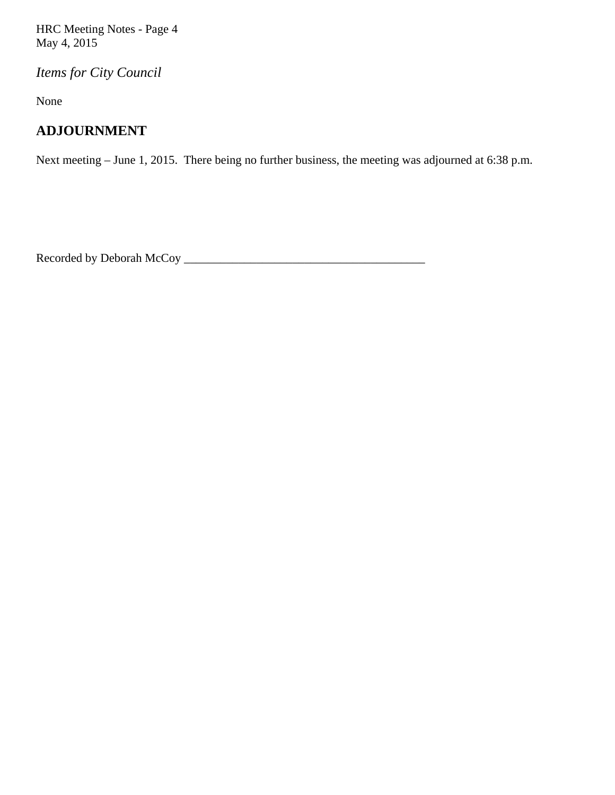HRC Meeting Notes - Page 4 May 4, 2015

*Items for City Council* 

None

## **ADJOURNMENT**

Next meeting – June 1, 2015. There being no further business, the meeting was adjourned at 6:38 p.m.

Recorded by Deborah McCoy \_\_\_\_\_\_\_\_\_\_\_\_\_\_\_\_\_\_\_\_\_\_\_\_\_\_\_\_\_\_\_\_\_\_\_\_\_\_\_\_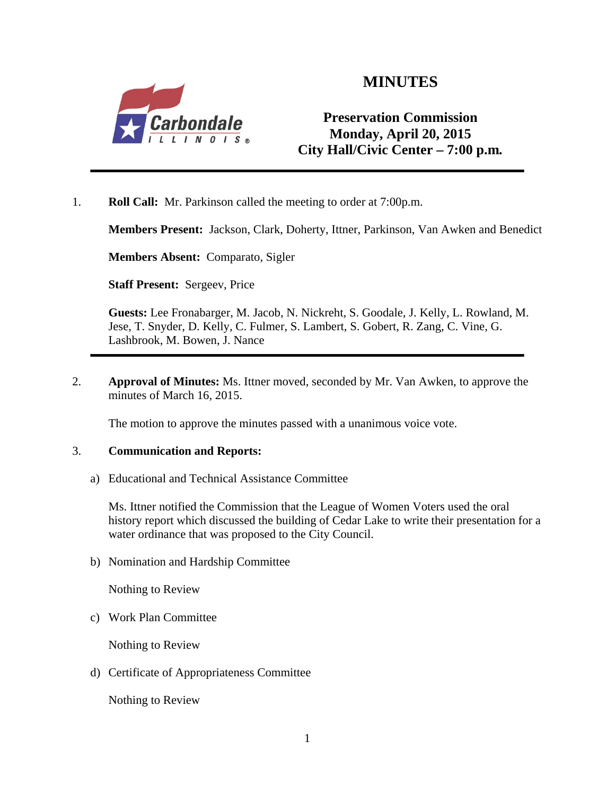

## **MINUTES**

## **Preservation Commission Monday, April 20, 2015 City Hall/Civic Center – 7:00 p.m***.*

1. **Roll Call:** Mr. Parkinson called the meeting to order at 7:00p.m.

**Members Present:** Jackson, Clark, Doherty, Ittner, Parkinson, Van Awken and Benedict

**Members Absent:** Comparato, Sigler

**Staff Present:** Sergeev, Price

**Guests:** Lee Fronabarger, M. Jacob, N. Nickreht, S. Goodale, J. Kelly, L. Rowland, M. Jese, T. Snyder, D. Kelly, C. Fulmer, S. Lambert, S. Gobert, R. Zang, C. Vine, G. Lashbrook, M. Bowen, J. Nance

2. **Approval of Minutes:** Ms. Ittner moved, seconded by Mr. Van Awken, to approve the minutes of March 16, 2015.

The motion to approve the minutes passed with a unanimous voice vote.

#### 3. **Communication and Reports:**

a) Educational and Technical Assistance Committee

Ms. Ittner notified the Commission that the League of Women Voters used the oral history report which discussed the building of Cedar Lake to write their presentation for a water ordinance that was proposed to the City Council.

b) Nomination and Hardship Committee

Nothing to Review

c) Work Plan Committee

Nothing to Review

d) Certificate of Appropriateness Committee

Nothing to Review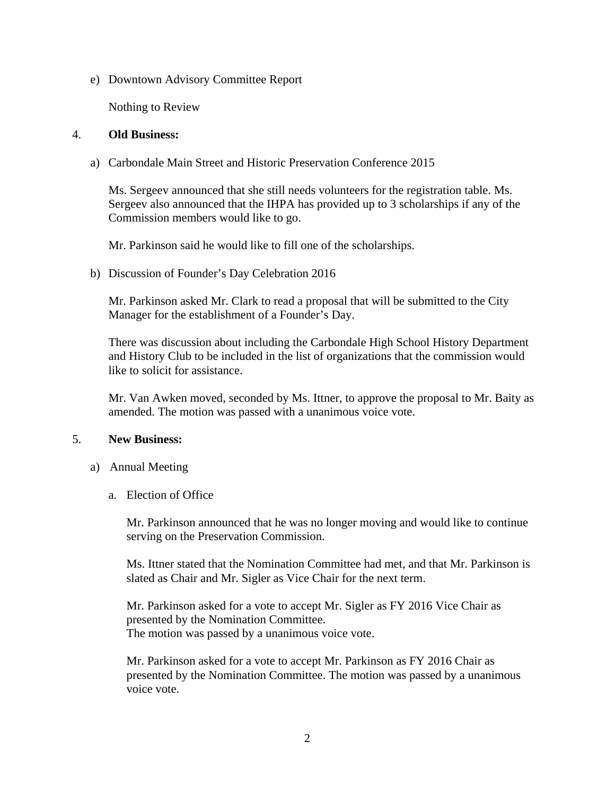e) Downtown Advisory Committee Report

Nothing to Review

#### 4. **Old Business:**

a) Carbondale Main Street and Historic Preservation Conference 2015

Ms. Sergeev announced that she still needs volunteers for the registration table. Ms. Sergeev also announced that the IHPA has provided up to 3 scholarships if any of the Commission members would like to go.

Mr. Parkinson said he would like to fill one of the scholarships.

b) Discussion of Founder's Day Celebration 2016

Mr. Parkinson asked Mr. Clark to read a proposal that will be submitted to the City Manager for the establishment of a Founder's Day.

There was discussion about including the Carbondale High School History Department and History Club to be included in the list of organizations that the commission would like to solicit for assistance.

Mr. Van Awken moved, seconded by Ms. Ittner, to approve the proposal to Mr. Baity as amended. The motion was passed with a unanimous voice vote.

#### 5. **New Business:**

- a) Annual Meeting
	- a. Election of Office

Mr. Parkinson announced that he was no longer moving and would like to continue serving on the Preservation Commission.

Ms. Ittner stated that the Nomination Committee had met, and that Mr. Parkinson is slated as Chair and Mr. Sigler as Vice Chair for the next term.

Mr. Parkinson asked for a vote to accept Mr. Sigler as FY 2016 Vice Chair as presented by the Nomination Committee. The motion was passed by a unanimous voice vote.

Mr. Parkinson asked for a vote to accept Mr. Parkinson as FY 2016 Chair as presented by the Nomination Committee. The motion was passed by a unanimous voice vote.